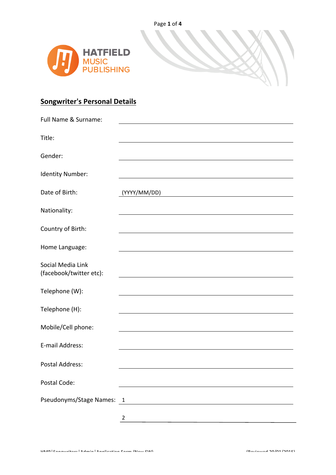

## **Songwriter's Personal Details**

| Full Name & Surname:                         |                                                                                                                                      |
|----------------------------------------------|--------------------------------------------------------------------------------------------------------------------------------------|
| Title:                                       |                                                                                                                                      |
| Gender:                                      |                                                                                                                                      |
| Identity Number:                             |                                                                                                                                      |
| Date of Birth:                               | (YYYY/MM/DD)<br><u> 1980 - Johann Barn, mars ann an t-Amhain Aonaich an t-Aonaich an t-Aonaich ann an t-Aonaich ann an t-Aonaich</u> |
| Nationality:                                 |                                                                                                                                      |
| Country of Birth:                            |                                                                                                                                      |
| Home Language:                               |                                                                                                                                      |
| Social Media Link<br>(facebook/twitter etc): |                                                                                                                                      |
| Telephone (W):                               |                                                                                                                                      |
| Telephone (H):                               |                                                                                                                                      |
| Mobile/Cell phone:                           |                                                                                                                                      |
| E-mail Address:                              |                                                                                                                                      |
| <b>Postal Address:</b>                       |                                                                                                                                      |
| Postal Code:                                 |                                                                                                                                      |
| Pseudonyms/Stage Names:                      | $\mathbf{1}$                                                                                                                         |
|                                              | $\overline{2}$                                                                                                                       |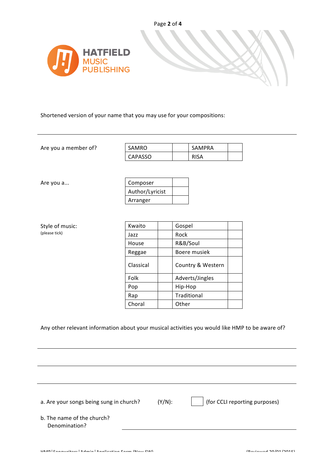

Shortened version of your name that you may use for your compositions:

Are you a member of?

| SAMRO          | SAMPRA |  |
|----------------|--------|--|
| <b>CAPASSO</b> |        |  |

Are you a...

| Composer        |  |
|-----------------|--|
| Author/Lyricist |  |
| Arranger        |  |

| Style of music: |  |
|-----------------|--|
| (please tick)   |  |

| Style of music: | Kwaito    | Gospel            |  |
|-----------------|-----------|-------------------|--|
| (please tick)   | Jazz      | Rock              |  |
|                 | House     | R&B/Soul          |  |
|                 | Reggae    | Boere musiek      |  |
|                 | Classical | Country & Western |  |
|                 | Folk      | Adverts/Jingles   |  |
|                 | Pop       | Hip-Hop           |  |
|                 | Rap       | Traditional       |  |
|                 | Choral    | Other             |  |

## Any other relevant information about your musical activities you would like HMP to be aware of?

a. Are your songs being sung in church?  $(Y/N)$ : (for CCLI reporting purposes) b. The name of the church? Denomination?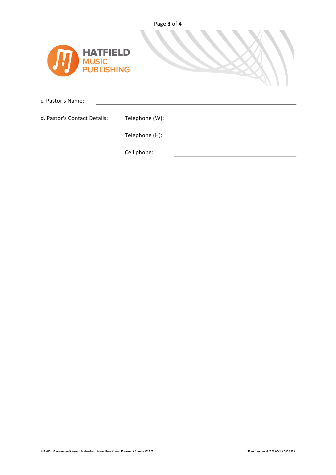

c. Pastor's Name:

d. Pastor's Contact Details: Telephone (W):

Telephone (H):

Cell phone: